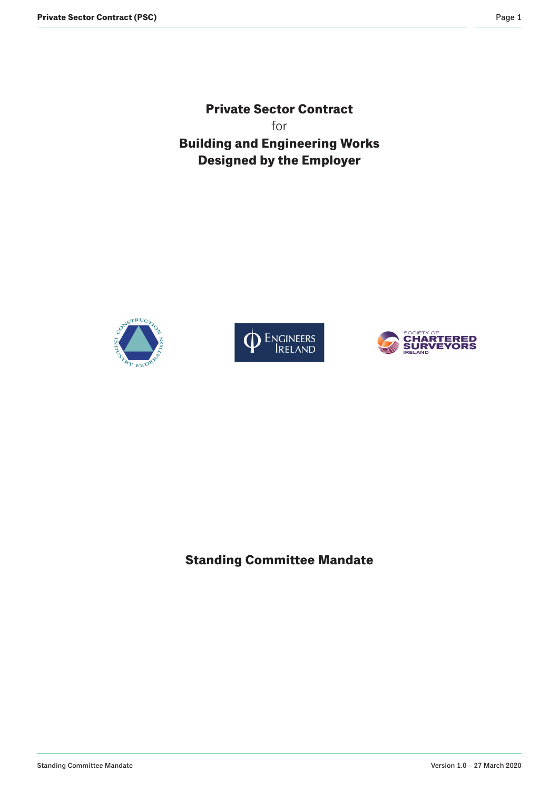**Private Sector Contract** for **Building and Engineering Works Designed by the Employer**







**Standing Committee Mandate**